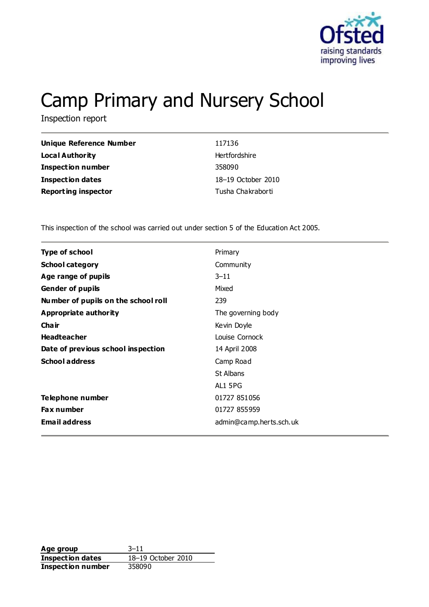

# Camp Primary and Nursery School

Inspection report

| <b>Unique Reference Number</b> | 117136             |
|--------------------------------|--------------------|
| Local Authority                | Hertfordshire      |
| <b>Inspection number</b>       | 358090             |
| <b>Inspection dates</b>        | 18–19 October 2010 |
| <b>Reporting inspector</b>     | Tusha Chakraborti  |

This inspection of the school was carried out under section 5 of the Education Act 2005.

| <b>Type of school</b>               | Primary                 |
|-------------------------------------|-------------------------|
| <b>School category</b>              | Community               |
| Age range of pupils                 | $3 - 11$                |
| <b>Gender of pupils</b>             | Mixed                   |
| Number of pupils on the school roll | 239                     |
| Appropriate authority               | The governing body      |
| Cha ir                              | Kevin Doyle             |
| <b>Headteacher</b>                  | Louise Cornock          |
| Date of previous school inspection  | 14 April 2008           |
| <b>School address</b>               | Camp Road               |
|                                     | <b>St Albans</b>        |
|                                     | AL1 5PG                 |
| Telephone number                    | 01727 851056            |
| <b>Fax number</b>                   | 01727 855959            |
| <b>Email address</b>                | admin@camp.herts.sch.uk |
|                                     |                         |

**Age group** 3-11<br> **Inspection dates** 18-19 October 2010 **Inspection dates Inspection number** 358090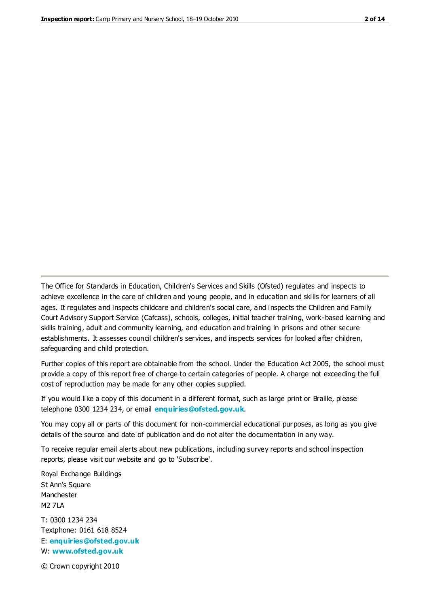The Office for Standards in Education, Children's Services and Skills (Ofsted) regulates and inspects to achieve excellence in the care of children and young people, and in education and skills for learners of all ages. It regulates and inspects childcare and children's social care, and inspects the Children and Family Court Advisory Support Service (Cafcass), schools, colleges, initial teacher training, work-based learning and skills training, adult and community learning, and education and training in prisons and other secure establishments. It assesses council children's services, and inspects services for looked after children, safeguarding and child protection.

Further copies of this report are obtainable from the school. Under the Education Act 2005, the school must provide a copy of this report free of charge to certain categories of people. A charge not exceeding the full cost of reproduction may be made for any other copies supplied.

If you would like a copy of this document in a different format, such as large print or Braille, please telephone 0300 1234 234, or email **[enquiries@ofsted.gov.uk](mailto:enquiries@ofsted.gov.uk)**.

You may copy all or parts of this document for non-commercial educational purposes, as long as you give details of the source and date of publication and do not alter the documentation in any way.

To receive regular email alerts about new publications, including survey reports and school inspection reports, please visit our website and go to 'Subscribe'.

Royal Exchange Buildings St Ann's Square Manchester M2 7LA T: 0300 1234 234 Textphone: 0161 618 8524 E: **[enquiries@ofsted.gov.uk](mailto:enquiries@ofsted.gov.uk)** W: **[www.ofsted.gov.uk](http://www.ofsted.gov.uk/)**

© Crown copyright 2010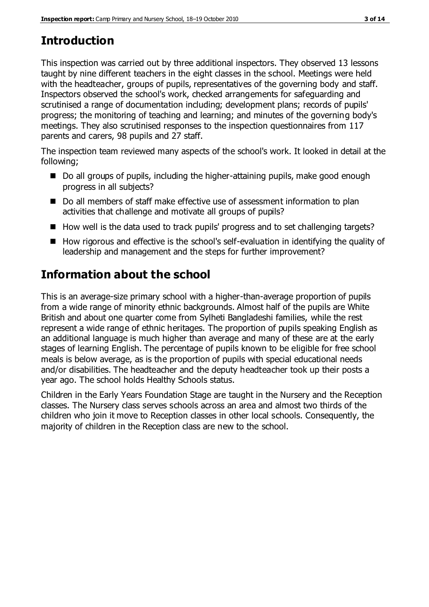# **Introduction**

This inspection was carried out by three additional inspectors. They observed 13 lessons taught by nine different teachers in the eight classes in the school. Meetings were held with the headteacher, groups of pupils, representatives of the governing body and staff. Inspectors observed the school's work, checked arrangements for safeguarding and scrutinised a range of documentation including; development plans; records of pupils' progress; the monitoring of teaching and learning; and minutes of the governing body's meetings. They also scrutinised responses to the inspection questionnaires from 117 parents and carers, 98 pupils and 27 staff.

The inspection team reviewed many aspects of the school's work. It looked in detail at the following;

- Do all groups of pupils, including the higher-attaining pupils, make good enough progress in all subjects?
- Do all members of staff make effective use of assessment information to plan activities that challenge and motivate all groups of pupils?
- How well is the data used to track pupils' progress and to set challenging targets?
- How rigorous and effective is the school's self-evaluation in identifying the quality of leadership and management and the steps for further improvement?

# **Information about the school**

This is an average-size primary school with a higher-than-average proportion of pupils from a wide range of minority ethnic backgrounds. Almost half of the pupils are White British and about one quarter come from Sylheti Bangladeshi families, while the rest represent a wide range of ethnic heritages. The proportion of pupils speaking English as an additional language is much higher than average and many of these are at the early stages of learning English. The percentage of pupils known to be eligible for free school meals is below average, as is the proportion of pupils with special educational needs and/or disabilities. The headteacher and the deputy headteacher took up their posts a year ago. The school holds Healthy Schools status.

Children in the Early Years Foundation Stage are taught in the Nursery and the Reception classes. The Nursery class serves schools across an area and almost two thirds of the children who join it move to Reception classes in other local schools. Consequently, the majority of children in the Reception class are new to the school.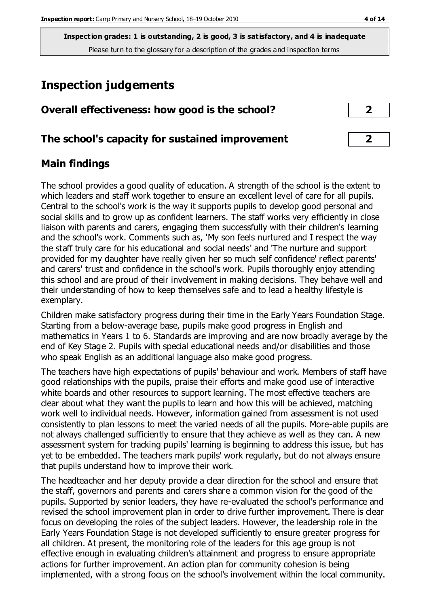# **Inspection judgements**

| Overall effectiveness: how good is the school? |  |  |
|------------------------------------------------|--|--|
|------------------------------------------------|--|--|

## **The school's capacity for sustained improvement 2**

## **Main findings**

The school provides a good quality of education. A strength of the school is the extent to which leaders and staff work together to ensure an excellent level of care for all pupils. Central to the school's work is the way it supports pupils to develop good personal and social skills and to grow up as confident learners. The staff works very efficiently in close liaison with parents and carers, engaging them successfully with their children's learning and the school's work. Comments such as, 'My son feels nurtured and I respect the way the staff truly care for his educational and social needs' and 'The nurture and support provided for my daughter have really given her so much self confidence' reflect parents' and carers' trust and confidence in the school's work. Pupils thoroughly enjoy attending this school and are proud of their involvement in making decisions. They behave well and their understanding of how to keep themselves safe and to lead a healthy lifestyle is exemplary.

Children make satisfactory progress during their time in the Early Years Foundation Stage. Starting from a below-average base, pupils make good progress in English and mathematics in Years 1 to 6. Standards are improving and are now broadly average by the end of Key Stage 2. Pupils with special educational needs and/or disabilities and those who speak English as an additional language also make good progress.

The teachers have high expectations of pupils' behaviour and work. Members of staff have good relationships with the pupils, praise their efforts and make good use of interactive white boards and other resources to support learning. The most effective teachers are clear about what they want the pupils to learn and how this will be achieved, matching work well to individual needs. However, information gained from assessment is not used consistently to plan lessons to meet the varied needs of all the pupils. More-able pupils are not always challenged sufficiently to ensure that they achieve as well as they can. A new assessment system for tracking pupils' learning is beginning to address this issue, but has yet to be embedded. The teachers mark pupils' work regularly, but do not always ensure that pupils understand how to improve their work.

The headteacher and her deputy provide a clear direction for the school and ensure that the staff, governors and parents and carers share a common vision for the good of the pupils. Supported by senior leaders, they have re-evaluated the school's performance and revised the school improvement plan in order to drive further improvement. There is clear focus on developing the roles of the subject leaders. However, the leadership role in the Early Years Foundation Stage is not developed sufficiently to ensure greater progress for all children. At present, the monitoring role of the leaders for this age group is not effective enough in evaluating children's attainment and progress to ensure appropriate actions for further improvement. An action plan for community cohesion is being implemented, with a strong focus on the school's involvement within the local community.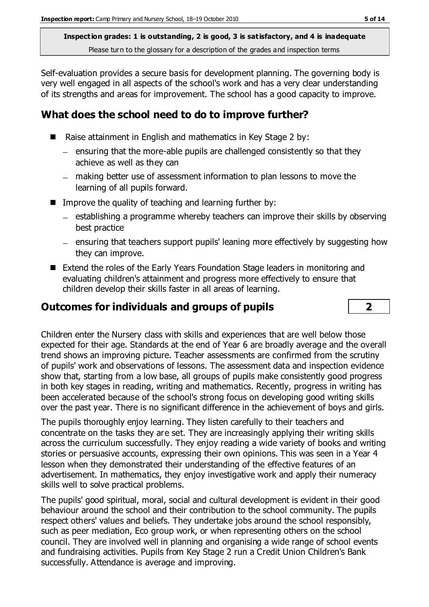Self-evaluation provides a secure basis for development planning. The governing body is very well engaged in all aspects of the school's work and has a very clear understanding of its strengths and areas for improvement. The school has a good capacity to improve.

## **What does the school need to do to improve further?**

- Raise attainment in English and mathematics in Key Stage 2 by:
	- $\overline{a}$  ensuring that the more-able pupils are challenged consistently so that they achieve as well as they can
	- making better use of assessment information to plan lessons to move the learning of all pupils forward.
- Improve the quality of teaching and learning further by:
	- $-$  establishing a programme whereby teachers can improve their skills by observing best practice
	- ensuring that teachers support pupils' leaning more effectively by suggesting how they can improve.
- Extend the roles of the Early Years Foundation Stage leaders in monitoring and evaluating children's attainment and progress more effectively to ensure that children develop their skills faster in all areas of learning.

## **Outcomes for individuals and groups of pupils 2**



Children enter the Nursery class with skills and experiences that are well below those expected for their age. Standards at the end of Year 6 are broadly average and the overall trend shows an improving picture. Teacher assessments are confirmed from the scrutiny of pupils' work and observations of lessons. The assessment data and inspection evidence show that, starting from a low base, all groups of pupils make consistently good progress in both key stages in reading, writing and mathematics. Recently, progress in writing has been accelerated because of the school's strong focus on developing good writing skills over the past year. There is no significant difference in the achievement of boys and girls.

The pupils thoroughly enjoy learning. They listen carefully to their teachers and concentrate on the tasks they are set. They are increasingly applying their writing skills across the curriculum successfully. They enjoy reading a wide variety of books and writing stories or persuasive accounts, expressing their own opinions. This was seen in a Year 4 lesson when they demonstrated their understanding of the effective features of an advertisement. In mathematics, they enjoy investigative work and apply their numeracy skills well to solve practical problems.

The pupils' good spiritual, moral, social and cultural development is evident in their good behaviour around the school and their contribution to the school community. The pupils respect others' values and beliefs. They undertake jobs around the school responsibly, such as peer mediation, Eco group work, or when representing others on the school council. They are involved well in planning and organising a wide range of school events and fundraising activities. Pupils from Key Stage 2 run a Credit Union Children's Bank successfully. Attendance is average and improving.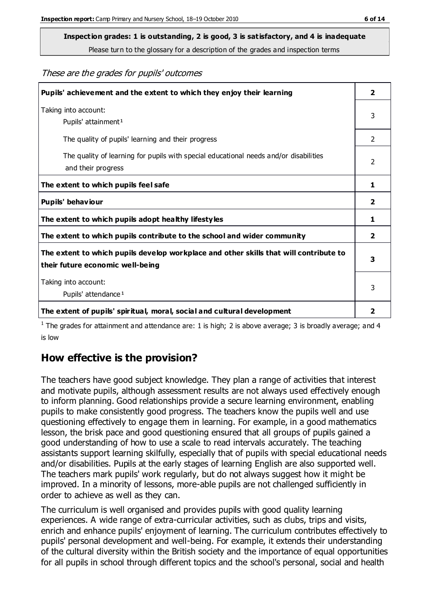**Inspection grades: 1 is outstanding, 2 is good, 3 is satisfactory, and 4 is inadequate**

Please turn to the glossary for a description of the grades and inspection terms

These are the grades for pupils' outcomes

| Pupils' achievement and the extent to which they enjoy their learning                                                     |               |
|---------------------------------------------------------------------------------------------------------------------------|---------------|
| Taking into account:<br>Pupils' attainment <sup>1</sup>                                                                   |               |
| The quality of pupils' learning and their progress                                                                        | $\mathcal{P}$ |
| The quality of learning for pupils with special educational needs and/or disabilities<br>and their progress               |               |
| The extent to which pupils feel safe                                                                                      | 1             |
| Pupils' behaviour                                                                                                         | 2             |
| The extent to which pupils adopt healthy lifestyles                                                                       | 1             |
| The extent to which pupils contribute to the school and wider community                                                   |               |
| The extent to which pupils develop workplace and other skills that will contribute to<br>their future economic well-being |               |
| Taking into account:<br>Pupils' attendance <sup>1</sup>                                                                   | 3             |
| The extent of pupils' spiritual, moral, social and cultural development                                                   | 2             |

<sup>1</sup> The grades for attainment and attendance are: 1 is high; 2 is above average; 3 is broadly average; and 4 is low

## **How effective is the provision?**

The teachers have good subject knowledge. They plan a range of activities that interest and motivate pupils, although assessment results are not always used effectively enough to inform planning. Good relationships provide a secure learning environment, enabling pupils to make consistently good progress. The teachers know the pupils well and use questioning effectively to engage them in learning. For example, in a good mathematics lesson, the brisk pace and good questioning ensured that all groups of pupils gained a good understanding of how to use a scale to read intervals accurately. The teaching assistants support learning skilfully, especially that of pupils with special educational needs and/or disabilities. Pupils at the early stages of learning English are also supported well. The teachers mark pupils' work regularly, but do not always suggest how it might be improved. In a minority of lessons, more-able pupils are not challenged sufficiently in order to achieve as well as they can.

The curriculum is well organised and provides pupils with good quality learning experiences. A wide range of extra-curricular activities, such as clubs, trips and visits, enrich and enhance pupils' enjoyment of learning. The curriculum contributes effectively to pupils' personal development and well-being. For example, it extends their understanding of the cultural diversity within the British society and the importance of equal opportunities for all pupils in school through different topics and the school's personal, social and health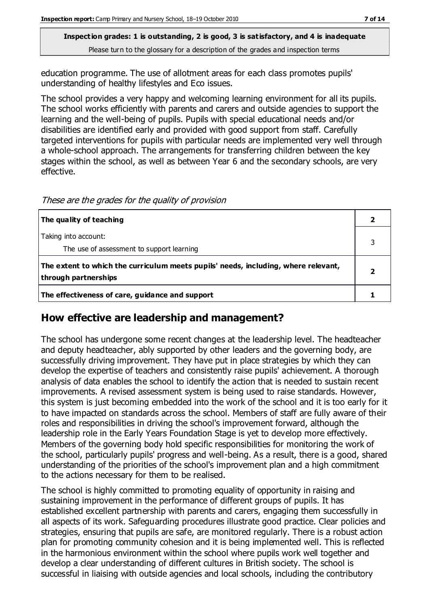education programme. The use of allotment areas for each class promotes pupils' understanding of healthy lifestyles and Eco issues.

The school provides a very happy and welcoming learning environment for all its pupils. The school works efficiently with parents and carers and outside agencies to support the learning and the well-being of pupils. Pupils with special educational needs and/or disabilities are identified early and provided with good support from staff. Carefully targeted interventions for pupils with particular needs are implemented very well through a whole-school approach. The arrangements for transferring children between the key stages within the school, as well as between Year 6 and the secondary schools, are very effective.

These are the grades for the quality of provision

| The quality of teaching                                                                                    |  |
|------------------------------------------------------------------------------------------------------------|--|
| Taking into account:<br>The use of assessment to support learning                                          |  |
| The extent to which the curriculum meets pupils' needs, including, where relevant,<br>through partnerships |  |
| The effectiveness of care, guidance and support                                                            |  |

#### **How effective are leadership and management?**

The school has undergone some recent changes at the leadership level. The headteacher and deputy headteacher, ably supported by other leaders and the governing body, are successfully driving improvement. They have put in place strategies by which they can develop the expertise of teachers and consistently raise pupils' achievement. A thorough analysis of data enables the school to identify the action that is needed to sustain recent improvements. A revised assessment system is being used to raise standards. However, this system is just becoming embedded into the work of the school and it is too early for it to have impacted on standards across the school. Members of staff are fully aware of their roles and responsibilities in driving the school's improvement forward, although the leadership role in the Early Years Foundation Stage is yet to develop more effectively. Members of the governing body hold specific responsibilities for monitoring the work of the school, particularly pupils' progress and well-being. As a result, there is a good, shared understanding of the priorities of the school's improvement plan and a high commitment to the actions necessary for them to be realised.

The school is highly committed to promoting equality of opportunity in raising and sustaining improvement in the performance of different groups of pupils. It has established excellent partnership with parents and carers, engaging them successfully in all aspects of its work. Safeguarding procedures illustrate good practice. Clear policies and strategies, ensuring that pupils are safe, are monitored regularly. There is a robust action plan for promoting community cohesion and it is being implemented well. This is reflected in the harmonious environment within the school where pupils work well together and develop a clear understanding of different cultures in British society. The school is successful in liaising with outside agencies and local schools, including the contributory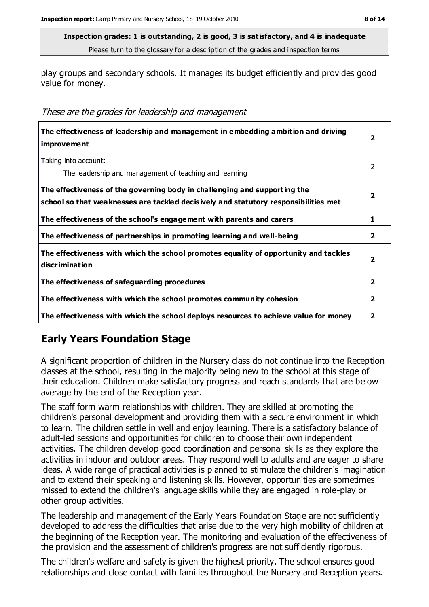play groups and secondary schools. It manages its budget efficiently and provides good value for money.

| The effectiveness of leadership and management in embedding ambition and driving<br><i>improvement</i>                                                           |                |
|------------------------------------------------------------------------------------------------------------------------------------------------------------------|----------------|
| Taking into account:<br>The leadership and management of teaching and learning                                                                                   | 2              |
| The effectiveness of the governing body in challenging and supporting the<br>school so that weaknesses are tackled decisively and statutory responsibilities met | 2              |
| The effectiveness of the school's engagement with parents and carers                                                                                             | 1              |
| The effectiveness of partnerships in promoting learning and well-being                                                                                           | $\overline{2}$ |
| The effectiveness with which the school promotes equality of opportunity and tackles<br>discrimination                                                           | 2              |
| The effectiveness of safeguarding procedures                                                                                                                     | 2              |
| The effectiveness with which the school promotes community cohesion                                                                                              | 2              |
| The effectiveness with which the school deploys resources to achieve value for money                                                                             | 2              |

## **Early Years Foundation Stage**

A significant proportion of children in the Nursery class do not continue into the Reception classes at the school, resulting in the majority being new to the school at this stage of their education. Children make satisfactory progress and reach standards that are below average by the end of the Reception year.

The staff form warm relationships with children. They are skilled at promoting the children's personal development and providing them with a secure environment in which to learn. The children settle in well and enjoy learning. There is a satisfactory balance of adult-led sessions and opportunities for children to choose their own independent activities. The children develop good coordination and personal skills as they explore the activities in indoor and outdoor areas. They respond well to adults and are eager to share ideas. A wide range of practical activities is planned to stimulate the children's imagination and to extend their speaking and listening skills. However, opportunities are sometimes missed to extend the children's language skills while they are engaged in role-play or other group activities.

The leadership and management of the Early Years Foundation Stage are not sufficiently developed to address the difficulties that arise due to the very high mobility of children at the beginning of the Reception year. The monitoring and evaluation of the effectiveness of the provision and the assessment of children's progress are not sufficiently rigorous.

The children's welfare and safety is given the highest priority. The school ensures good relationships and close contact with families throughout the Nursery and Reception years.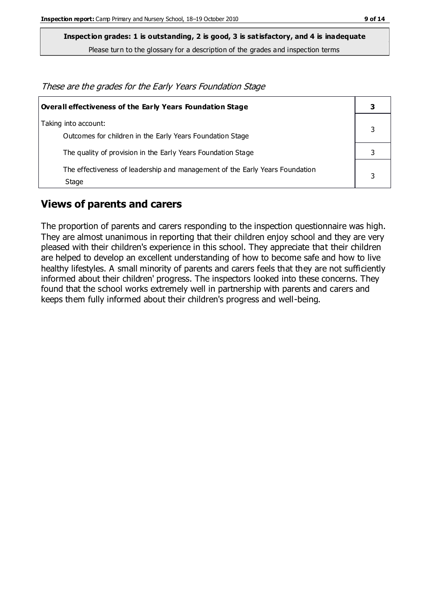**Inspection grades: 1 is outstanding, 2 is good, 3 is satisfactory, and 4 is inadequate**

Please turn to the glossary for a description of the grades and inspection terms

These are the grades for the Early Years Foundation Stage **Overall effectiveness of the Early Years Foundation Stage 3** Taking into account: Outcomes for children in the Early Years Foundation Stage The quality of provision in the Early Years Foundation Stage **3** 3 The effectiveness of leadership and management of the Early Years Foundation **Stage** 

# **Views of parents and carers**

The proportion of parents and carers responding to the inspection questionnaire was high. They are almost unanimous in reporting that their children enjoy school and they are very pleased with their children's experience in this school. They appreciate that their children are helped to develop an excellent understanding of how to become safe and how to live healthy lifestyles. A small minority of parents and carers feels that they are not sufficiently informed about their children' progress. The inspectors looked into these concerns. They found that the school works extremely well in partnership with parents and carers and keeps them fully informed about their children's progress and well-being.

3

3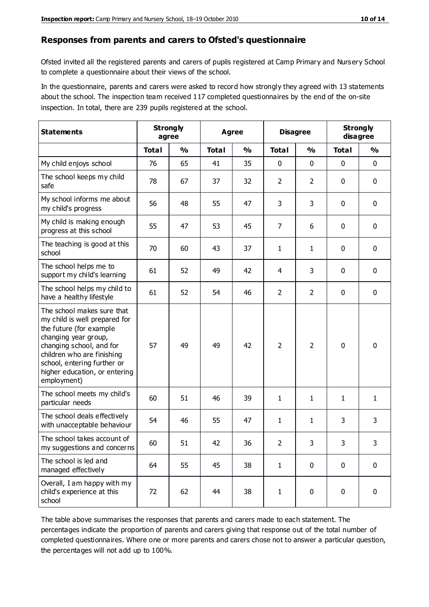#### **Responses from parents and carers to Ofsted's questionnaire**

Ofsted invited all the registered parents and carers of pupils registered at Camp Primary and Nursery School to complete a questionnaire about their views of the school.

In the questionnaire, parents and carers were asked to record how strongly they agreed with 13 statements about the school. The inspection team received 117 completed questionnaires by the end of the on-site inspection. In total, there are 239 pupils registered at the school.

| <b>Statements</b>                                                                                                                                                                                                                                       | <b>Strongly</b><br>agree |               |              | Agree         |                | <b>Disagree</b> | <b>Strongly</b><br>disagree |               |
|---------------------------------------------------------------------------------------------------------------------------------------------------------------------------------------------------------------------------------------------------------|--------------------------|---------------|--------------|---------------|----------------|-----------------|-----------------------------|---------------|
|                                                                                                                                                                                                                                                         | <b>Total</b>             | $\frac{0}{0}$ | <b>Total</b> | $\frac{0}{0}$ | <b>Total</b>   | $\frac{0}{0}$   | <b>Total</b>                | $\frac{0}{0}$ |
| My child enjoys school                                                                                                                                                                                                                                  | 76                       | 65            | 41           | 35            | 0              | 0               | $\mathbf 0$                 | $\mathbf 0$   |
| The school keeps my child<br>safe                                                                                                                                                                                                                       | 78                       | 67            | 37           | 32            | $\overline{2}$ | $\overline{2}$  | $\mathbf 0$                 | $\mathbf 0$   |
| My school informs me about<br>my child's progress                                                                                                                                                                                                       | 56                       | 48            | 55           | 47            | 3              | 3               | $\mathbf 0$                 | $\mathbf 0$   |
| My child is making enough<br>progress at this school                                                                                                                                                                                                    | 55                       | 47            | 53           | 45            | 7              | 6               | 0                           | $\mathbf 0$   |
| The teaching is good at this<br>school                                                                                                                                                                                                                  | 70                       | 60            | 43           | 37            | 1              | $\mathbf{1}$    | $\mathbf 0$                 | $\mathbf 0$   |
| The school helps me to<br>support my child's learning                                                                                                                                                                                                   | 61                       | 52            | 49           | 42            | 4              | 3               | $\mathbf 0$                 | $\mathbf 0$   |
| The school helps my child to<br>have a healthy lifestyle                                                                                                                                                                                                | 61                       | 52            | 54           | 46            | $\overline{2}$ | $\overline{2}$  | $\mathbf 0$                 | $\mathbf 0$   |
| The school makes sure that<br>my child is well prepared for<br>the future (for example<br>changing year group,<br>changing school, and for<br>children who are finishing<br>school, entering further or<br>higher education, or entering<br>employment) | 57                       | 49            | 49           | 42            | $\overline{2}$ | $\overline{2}$  | $\mathbf 0$                 | $\mathbf 0$   |
| The school meets my child's<br>particular needs                                                                                                                                                                                                         | 60                       | 51            | 46           | 39            | 1              | $\mathbf{1}$    | $\mathbf{1}$                | 1             |
| The school deals effectively<br>with unacceptable behaviour                                                                                                                                                                                             | 54                       | 46            | 55           | 47            | 1              | $\mathbf{1}$    | 3                           | 3             |
| The school takes account of<br>my suggestions and concerns                                                                                                                                                                                              | 60                       | 51            | 42           | 36            | $\overline{2}$ | 3               | 3                           | 3             |
| The school is led and<br>managed effectively                                                                                                                                                                                                            | 64                       | 55            | 45           | 38            | $\mathbf{1}$   | $\mathbf 0$     | $\mathbf 0$                 | $\mathbf 0$   |
| Overall, I am happy with my<br>child's experience at this<br>school                                                                                                                                                                                     | 72                       | 62            | 44           | 38            | $\mathbf 1$    | 0               | $\mathbf 0$                 | $\mathbf 0$   |

The table above summarises the responses that parents and carers made to each statement. The percentages indicate the proportion of parents and carers giving that response out of the total number of completed questionnaires. Where one or more parents and carers chose not to answer a particular question, the percentages will not add up to 100%.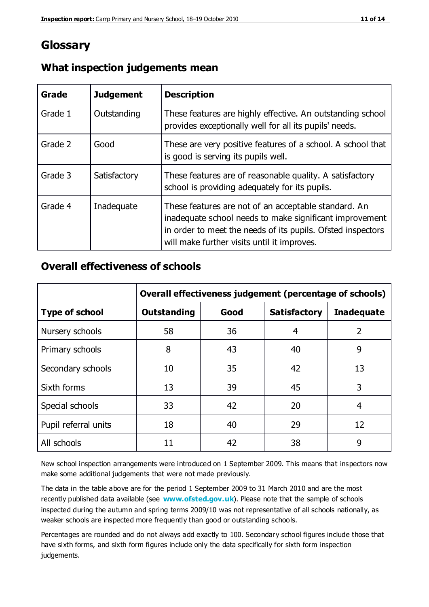## **Glossary**

| Grade   | <b>Judgement</b> | <b>Description</b>                                                                                                                                                                                                            |
|---------|------------------|-------------------------------------------------------------------------------------------------------------------------------------------------------------------------------------------------------------------------------|
| Grade 1 | Outstanding      | These features are highly effective. An outstanding school<br>provides exceptionally well for all its pupils' needs.                                                                                                          |
| Grade 2 | Good             | These are very positive features of a school. A school that<br>is good is serving its pupils well.                                                                                                                            |
| Grade 3 | Satisfactory     | These features are of reasonable quality. A satisfactory<br>school is providing adequately for its pupils.                                                                                                                    |
| Grade 4 | Inadequate       | These features are not of an acceptable standard. An<br>inadequate school needs to make significant improvement<br>in order to meet the needs of its pupils. Ofsted inspectors<br>will make further visits until it improves. |

## **What inspection judgements mean**

## **Overall effectiveness of schools**

|                       | Overall effectiveness judgement (percentage of schools) |      |                     |                   |
|-----------------------|---------------------------------------------------------|------|---------------------|-------------------|
| <b>Type of school</b> | <b>Outstanding</b>                                      | Good | <b>Satisfactory</b> | <b>Inadequate</b> |
| Nursery schools       | 58                                                      | 36   | 4                   | 2                 |
| Primary schools       | 8                                                       | 43   | 40                  | 9                 |
| Secondary schools     | 10                                                      | 35   | 42                  | 13                |
| Sixth forms           | 13                                                      | 39   | 45                  | 3                 |
| Special schools       | 33                                                      | 42   | 20                  | 4                 |
| Pupil referral units  | 18                                                      | 40   | 29                  | 12                |
| All schools           | 11                                                      | 42   | 38                  | 9                 |

New school inspection arrangements were introduced on 1 September 2009. This means that inspectors now make some additional judgements that were not made previously.

The data in the table above are for the period 1 September 2009 to 31 March 2010 and are the most recently published data available (see **[www.ofsted.gov.uk](http://www.ofsted.gov.uk/)**). Please note that the sample of schools inspected during the autumn and spring terms 2009/10 was not representative of all schools nationally, as weaker schools are inspected more frequently than good or outstanding schools.

Percentages are rounded and do not always add exactly to 100. Secondary school figures include those that have sixth forms, and sixth form figures include only the data specifically for sixth form inspection judgements.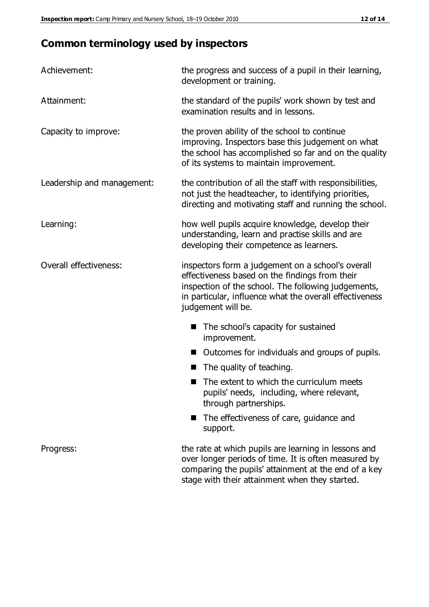# **Common terminology used by inspectors**

| Achievement:               | the progress and success of a pupil in their learning,<br>development or training.                                                                                                                                                          |  |  |
|----------------------------|---------------------------------------------------------------------------------------------------------------------------------------------------------------------------------------------------------------------------------------------|--|--|
| Attainment:                | the standard of the pupils' work shown by test and<br>examination results and in lessons.                                                                                                                                                   |  |  |
| Capacity to improve:       | the proven ability of the school to continue<br>improving. Inspectors base this judgement on what<br>the school has accomplished so far and on the quality<br>of its systems to maintain improvement.                                       |  |  |
| Leadership and management: | the contribution of all the staff with responsibilities,<br>not just the headteacher, to identifying priorities,<br>directing and motivating staff and running the school.                                                                  |  |  |
| Learning:                  | how well pupils acquire knowledge, develop their<br>understanding, learn and practise skills and are<br>developing their competence as learners.                                                                                            |  |  |
| Overall effectiveness:     | inspectors form a judgement on a school's overall<br>effectiveness based on the findings from their<br>inspection of the school. The following judgements,<br>in particular, influence what the overall effectiveness<br>judgement will be. |  |  |
|                            | The school's capacity for sustained<br>improvement.                                                                                                                                                                                         |  |  |
|                            | Outcomes for individuals and groups of pupils.                                                                                                                                                                                              |  |  |
|                            | The quality of teaching.                                                                                                                                                                                                                    |  |  |
|                            | The extent to which the curriculum meets<br>pupils' needs, including, where relevant,<br>through partnerships.                                                                                                                              |  |  |
|                            | The effectiveness of care, guidance and<br>support.                                                                                                                                                                                         |  |  |
| Progress:                  | the rate at which pupils are learning in lessons and<br>over longer periods of time. It is often measured by<br>comparing the pupils' attainment at the end of a key                                                                        |  |  |

stage with their attainment when they started.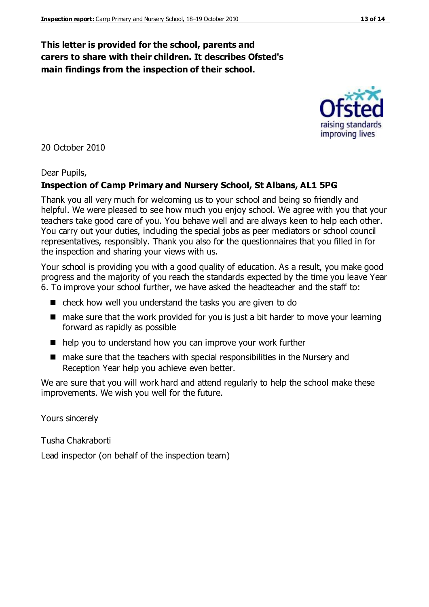## **This letter is provided for the school, parents and carers to share with their children. It describes Ofsted's main findings from the inspection of their school.**

20 October 2010

#### Dear Pupils,

#### **Inspection of Camp Primary and Nursery School, St Albans, AL1 5PG**

Thank you all very much for welcoming us to your school and being so friendly and helpful. We were pleased to see how much you enjoy school. We agree with you that your teachers take good care of you. You behave well and are always keen to help each other. You carry out your duties, including the special jobs as peer mediators or school council representatives, responsibly. Thank you also for the questionnaires that you filled in for the inspection and sharing your views with us.

Your school is providing you with a good quality of education. As a result, you make good progress and the majority of you reach the standards expected by the time you leave Year 6. To improve your school further, we have asked the headteacher and the staff to:

- check how well you understand the tasks you are given to do
- make sure that the work provided for you is just a bit harder to move your learning forward as rapidly as possible
- help you to understand how you can improve your work further
- make sure that the teachers with special responsibilities in the Nursery and Reception Year help you achieve even better.

We are sure that you will work hard and attend regularly to help the school make these improvements. We wish you well for the future.

Yours sincerely

Tusha Chakraborti

Lead inspector (on behalf of the inspection team)